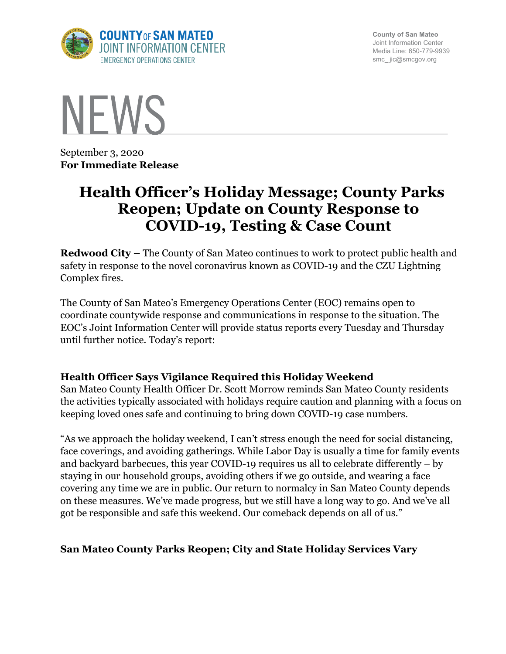

**County of San Mateo** Joint Information Center Media Line: 650-779-9939 smc\_ jic@smcgov.org



September 3, 2020 **For Immediate Release**

# **Health Officer's Holiday Message; County Parks Reopen; Update on County Response to COVID-19, Testing & Case Count**

**Redwood City –** The County of San Mateo continues to work to protect public health and safety in response to the novel coronavirus known as COVID-19 and the CZU Lightning Complex fires.

The County of San Mateo's Emergency Operations Center (EOC) remains open to coordinate countywide response and communications in response to the situation. The EOC's Joint Information Center will provide status reports every Tuesday and Thursday until further notice. Today's report:

## **Health Officer Says Vigilance Required this Holiday Weekend**

San Mateo County Health Officer Dr. Scott Morrow reminds San Mateo County residents the activities typically associated with holidays require caution and planning with a focus on keeping loved ones safe and continuing to bring down COVID-19 case numbers.

"As we approach the holiday weekend, I can't stress enough the need for social distancing, face coverings, and avoiding gatherings. While Labor Day is usually a time for family events and backyard barbecues, this year COVID-19 requires us all to celebrate differently – by staying in our household groups, avoiding others if we go outside, and wearing a face covering any time we are in public. Our return to normalcy in San Mateo County depends on these measures. We've made progress, but we still have a long way to go. And we've all got be responsible and safe this weekend. Our comeback depends on all of us."

## **San Mateo County Parks Reopen; City and State Holiday Services Vary**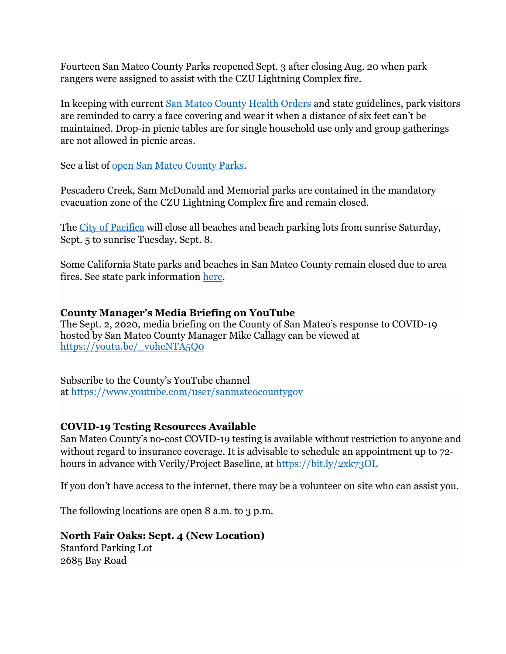Fourteen San Mateo County Parks reopened Sept. 3 after closing Aug. 20 when park rangers were assigned to assist with the CZU Lightning Complex fire.

In keeping with current San Mateo County Health Orders and state guidelines, park visitors are reminded to carry a face covering and wear it when a distance of six feet can't be maintained. Drop-in picnic tables are for single household use only and group gatherings are not allowed in picnic areas.

See a list of open San Mateo County Parks.

Pescadero Creek, Sam McDonald and Memorial parks are contained in the mandatory evacuation zone of the CZU Lightning Complex fire and remain closed.

The City of Pacifica will close all beaches and beach parking lots from sunrise Saturday, Sept. 5 to sunrise Tuesday, Sept. 8.

Some California State parks and beaches in San Mateo County remain closed due to area fires. See state park information here.

#### **County Manager's Media Briefing on YouTube**

The Sept. 2, 2020, media briefing on the County of San Mateo's response to COVID-19 hosted by San Mateo County Manager Mike Callagy can be viewed at https://youtu.be/\_voheNTA5Q0

Subscribe to the County's YouTube channel at https://www.youtube.com/user/sanmateocountygov

## **COVID-19 Testing Resources Available**

San Mateo County's no-cost COVID-19 testing is available without restriction to anyone and without regard to insurance coverage. It is advisable to schedule an appointment up to 72 hours in advance with Verily/Project Baseline, at https://bit.ly/2xk73OL

If you don't have access to the internet, there may be a volunteer on site who can assist you.

The following locations are open 8 a.m. to 3 p.m.

## **North Fair Oaks: Sept. 4 (New Location)** Stanford Parking Lot

2685 Bay Road